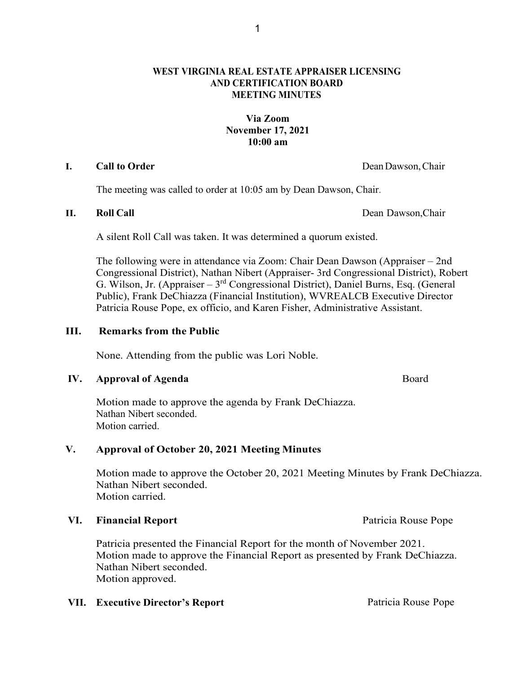# **WEST VIRGINIA REAL ESTATE APPRAISER LICENSING AND CERTIFICATION BOARD MEETING MINUTES**

# **Via Zoom November 17, 2021 10:00 am**

## **I. Call to Order** DeanDawson,Chair

The meeting was called to order at 10:05 am by Dean Dawson, Chair.

**II. Roll Call** Dean Dawson,Chair

A silent Roll Call was taken. It was determined a quorum existed.

The following were in attendance via Zoom: Chair Dean Dawson (Appraiser – 2nd Congressional District), Nathan Nibert (Appraiser- 3rd Congressional District), Robert G. Wilson, Jr. (Appraiser –  $3<sup>rd</sup>$  Congressional District), Daniel Burns, Esq. (General Public), Frank DeChiazza (Financial Institution), WVREALCB Executive Director Patricia Rouse Pope, ex officio, and Karen Fisher, Administrative Assistant.

# **III. Remarks from the Public**

None. Attending from the public was Lori Noble.

# **IV. Approval of Agenda Board**

Motion made to approve the agenda by Frank DeChiazza. Nathan Nibert seconded. Motion carried.

# **V. Approval of October 20, 2021 Meeting Minutes**

Motion made to approve the October 20, 2021 Meeting Minutes by Frank DeChiazza. Nathan Nibert seconded. Motion carried.

# VI. Financial Report **Patricia Rouse Pope Patricia Rouse Pope**

Patricia presented the Financial Report for the month of November 2021. Motion made to approve the Financial Report as presented by Frank DeChiazza. Nathan Nibert seconded. Motion approved.

# **VII. Executive Director's Report Patricia Rouse Pope**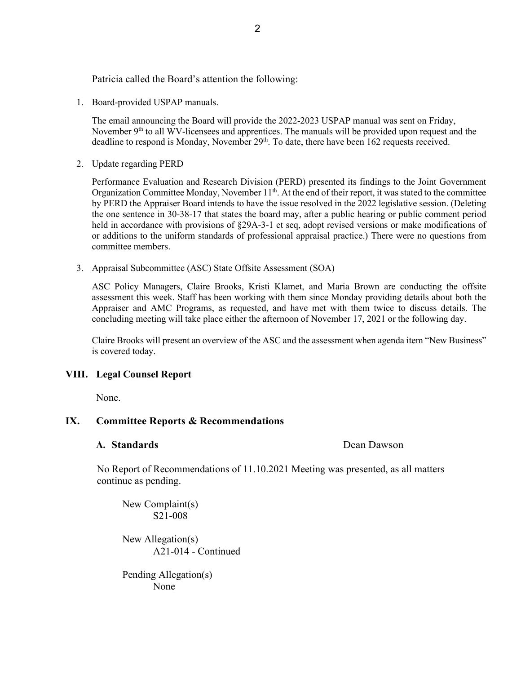Patricia called the Board's attention the following:

1. Board-provided USPAP manuals.

The email announcing the Board will provide the 2022-2023 USPAP manual was sent on Friday, November 9<sup>th</sup> to all WV-licensees and apprentices. The manuals will be provided upon request and the deadline to respond is Monday, November  $29<sup>th</sup>$ . To date, there have been 162 requests received.

2. Update regarding PERD

Performance Evaluation and Research Division (PERD) presented its findings to the Joint Government Organization Committee Monday, November 11<sup>th</sup>. At the end of their report, it was stated to the committee by PERD the Appraiser Board intends to have the issue resolved in the 2022 legislative session. (Deleting the one sentence in 30-38-17 that states the board may, after a public hearing or public comment period held in accordance with provisions of §29A-3-1 et seq, adopt revised versions or make modifications of or additions to the uniform standards of professional appraisal practice.) There were no questions from committee members.

3. Appraisal Subcommittee (ASC) State Offsite Assessment (SOA)

ASC Policy Managers, Claire Brooks, Kristi Klamet, and Maria Brown are conducting the offsite assessment this week. Staff has been working with them since Monday providing details about both the Appraiser and AMC Programs, as requested, and have met with them twice to discuss details. The concluding meeting will take place either the afternoon of November 17, 2021 or the following day.

Claire Brooks will present an overview of the ASC and the assessment when agenda item "New Business" is covered today.

### **VIII. Legal Counsel Report**

None.

## **IX. Committee Reports & Recommendations**

### **A. Standards Dean Dawson**

No Report of Recommendations of 11.10.2021 Meeting was presented, as all matters continue as pending.

New Complaint(s) S21-008

New Allegation(s) A21-014 - Continued

Pending Allegation(s) None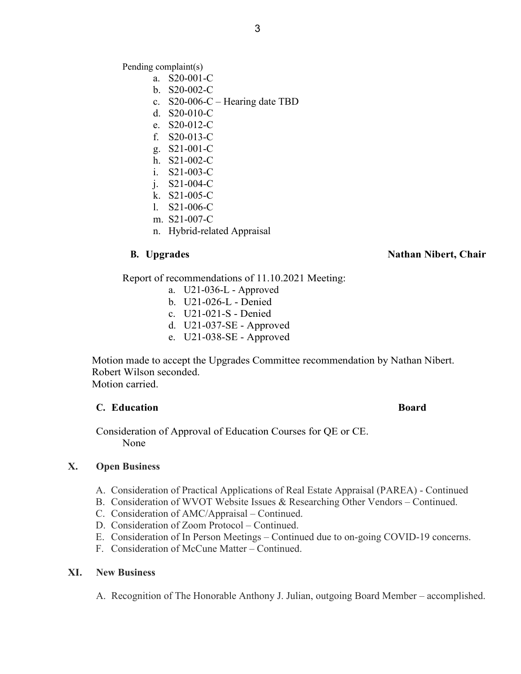Pending complaint(s)

- a. S20-001-C
- b. S20-002-C
- c. S20-006-C Hearing date TBD
- d. S20-010-C
- e. S20-012-C
- f. S20-013-C
- g. S21-001-C
- h. S21-002-C
- i. S21-003-C
- j. S21-004-C
- k. S21-005-C
- l. S21-006-C
- m. S21-007-C
- n. Hybrid-related Appraisal

# **B. Upgrades** Nathan Nibert, Chair

Report of recommendations of 11.10.2021 Meeting:

- a. U21-036-L Approved
- b. U21-026-L Denied
- c. U21-021-S Denied
- d. U21-037-SE Approved
- e. U21-038-SE Approved

Motion made to accept the Upgrades Committee recommendation by Nathan Nibert. Robert Wilson seconded. Motion carried.

# **C. Education Board**

 Consideration of Approval of Education Courses for QE or CE. None

### **X. Open Business**

- A. Consideration of Practical Applications of Real Estate Appraisal (PAREA) Continued
- B. Consideration of WVOT Website Issues & Researching Other Vendors Continued.
- C. Consideration of AMC/Appraisal Continued.
- D. Consideration of Zoom Protocol Continued.
- E. Consideration of In Person Meetings Continued due to on-going COVID-19 concerns.
- F. Consideration of McCune Matter Continued.

# **XI. New Business**

A. Recognition of The Honorable Anthony J. Julian, outgoing Board Member – accomplished.

# 3